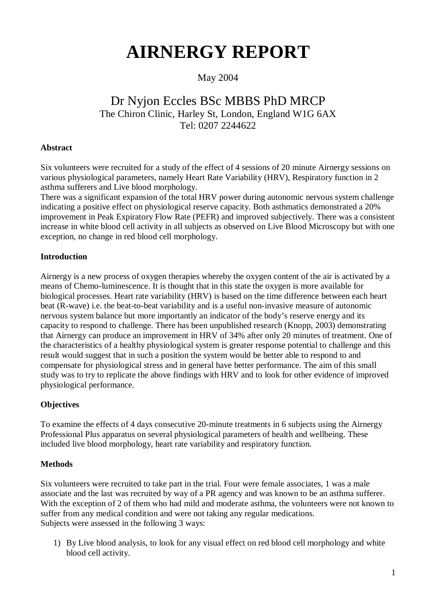# **AIRNERGY REPORT**

### May 2004

### Dr Nyjon Eccles BSc MBBS PhD MRCP The Chiron Clinic, Harley St, London, England W1G 6AX Tel: 0207 2244622

### **Abstract**

Six volunteers were recruited for a study of the effect of 4 sessions of 20 minute Airnergy sessions on various physiological parameters, namely Heart Rate Variability (HRV), Respiratory function in 2 asthma sufferers and Live blood morphology.

There was a significant expansion of the total HRV power during autonomic nervous system challenge indicating a positive effect on physiological reserve capacity. Both asthmatics demonstrated a 20% improvement in Peak Expiratory Flow Rate (PEFR) and improved subjectively. There was a consistent increase in white blood cell activity in all subjects as observed on Live Blood Microscopy but with one exception, no change in red blood cell morphology.

### **Introduction**

Airnergy is a new process of oxygen therapies whereby the oxygen content of the air is activated by a means of Chemo-luminescence. It is thought that in this state the oxygen is more available for biological processes. Heart rate variability (HRV) is based on the time difference between each heart beat (R-wave) i.e. the beat-to-beat variability and is a useful non-invasive measure of autonomic nervous system balance but more importantly an indicator of the body's reserve energy and its capacity to respond to challenge. There has been unpublished research (Knopp, 2003) demonstrating that Airnergy can produce an improvement in HRV of 34% after only 20 minutes of treatment. One of the characteristics of a healthy physiological system is greater response potential to challenge and this result would suggest that in such a position the system would be better able to respond to and compensate for physiological stress and in general have better performance. The aim of this small study was to try to replicate the above findings with HRV and to look for other evidence of improved physiological performance.

### **Objectives**

To examine the effects of 4 days consecutive 20-minute treatments in 6 subjects using the Airnergy Professional Plus apparatus on several physiological parameters of health and wellbeing. These included live blood morphology, heart rate variability and respiratory function.

### **Methods**

Six volunteers were recruited to take part in the trial. Four were female associates, 1 was a male associate and the last was recruited by way of a PR agency and was known to be an asthma sufferer. With the exception of 2 of them who had mild and moderate asthma, the volunteers were not known to suffer from any medical condition and were not taking any regular medications. Subjects were assessed in the following 3 ways:

1) By Live blood analysis, to look for any visual effect on red blood cell morphology and white blood cell activity.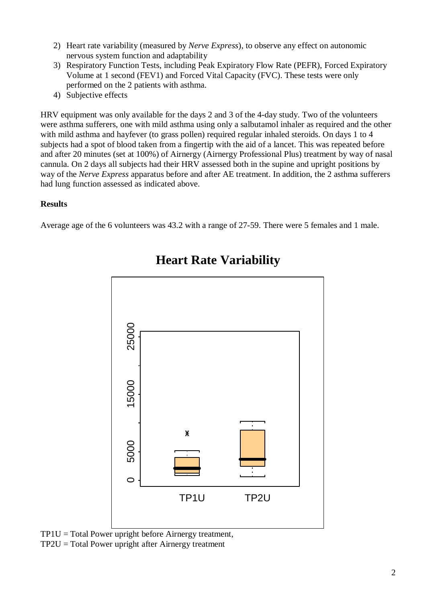- 2) Heart rate variability (measured by *Nerve Express*), to observe any effect on autonomic nervous system function and adaptability
- 3) Respiratory Function Tests, including Peak Expiratory Flow Rate (PEFR), Forced Expiratory Volume at 1 second (FEV1) and Forced Vital Capacity (FVC). These tests were only performed on the 2 patients with asthma.
- 4) Subjective effects

HRV equipment was only available for the days 2 and 3 of the 4-day study. Two of the volunteers were asthma sufferers, one with mild asthma using only a salbutamol inhaler as required and the other with mild asthma and hayfever (to grass pollen) required regular inhaled steroids. On days 1 to 4 subjects had a spot of blood taken from a fingertip with the aid of a lancet. This was repeated before and after 20 minutes (set at 100%) of Airnergy (Airnergy Professional Plus) treatment by way of nasal cannula. On 2 days all subjects had their HRV assessed both in the supine and upright positions by way of the *Nerve Express* apparatus before and after AE treatment. In addition, the 2 asthma sufferers had lung function assessed as indicated above.

### **Results**

Average age of the 6 volunteers was 43.2 with a range of 27-59. There were 5 females and 1 male.



### **Heart Rate Variability**

 $TPIU = Total Power$  upright before Airnergy treatment, TP2U = Total Power upright after Airnergy treatment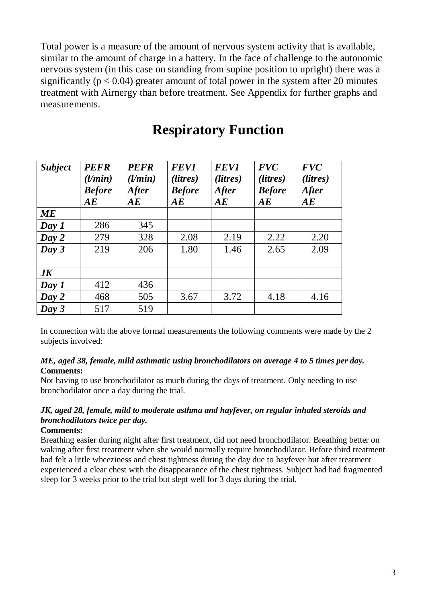Total power is a measure of the amount of nervous system activity that is available, similar to the amount of charge in a battery. In the face of challenge to the autonomic nervous system (in this case on standing from supine position to upright) there was a significantly ( $p < 0.04$ ) greater amount of total power in the system after 20 minutes treatment with Airnergy than before treatment. See Appendix for further graphs and measurements.

## **Respiratory Function**

| <b>Subject</b> | <b>PEFR</b><br>(l/min)<br><b>Before</b><br>AE | <b>PEFR</b><br>(l/min)<br><b>After</b><br>AE | <b>FEV1</b><br>( <i>litres</i> )<br><b>Before</b><br>AE | <b>FEV1</b><br>( <i>litres</i> )<br><b>After</b><br>AE | <b>FVC</b><br>(litres)<br><b>Before</b><br>AE | <b>FVC</b><br>(litres)<br><b>After</b><br>AE |
|----------------|-----------------------------------------------|----------------------------------------------|---------------------------------------------------------|--------------------------------------------------------|-----------------------------------------------|----------------------------------------------|
| <b>ME</b>      |                                               |                                              |                                                         |                                                        |                                               |                                              |
| Day 1          | 286                                           | 345                                          |                                                         |                                                        |                                               |                                              |
| Day 2          | 279                                           | 328                                          | 2.08                                                    | 2.19                                                   | 2.22                                          | 2.20                                         |
| Day 3          | 219                                           | 206                                          | 1.80                                                    | 1.46                                                   | 2.65                                          | 2.09                                         |
|                |                                               |                                              |                                                         |                                                        |                                               |                                              |
| $J\!K$         |                                               |                                              |                                                         |                                                        |                                               |                                              |
| Day 1          | 412                                           | 436                                          |                                                         |                                                        |                                               |                                              |
| Day 2          | 468                                           | 505                                          | 3.67                                                    | 3.72                                                   | 4.18                                          | 4.16                                         |
| Day 3          | 517                                           | 519                                          |                                                         |                                                        |                                               |                                              |

In connection with the above formal measurements the following comments were made by the 2 subjects involved:

### *ME, aged 38, female, mild asthmatic using bronchodilators on average 4 to 5 times per day.*  **Comments:**

Not having to use bronchodilator as much during the days of treatment. Only needing to use bronchodilator once a day during the trial.

### *JK, aged 28, female, mild to moderate asthma and hayfever, on regular inhaled steroids and bronchodilators twice per day.*

### **Comments:**

Breathing easier during night after first treatment, did not need bronchodilator. Breathing better on waking after first treatment when she would normally require bronchodilator. Before third treatment had felt a little wheeziness and chest tightness during the day due to hayfever but after treatment experienced a clear chest with the disappearance of the chest tightness. Subject had had fragmented sleep for 3 weeks prior to the trial but slept well for 3 days during the trial.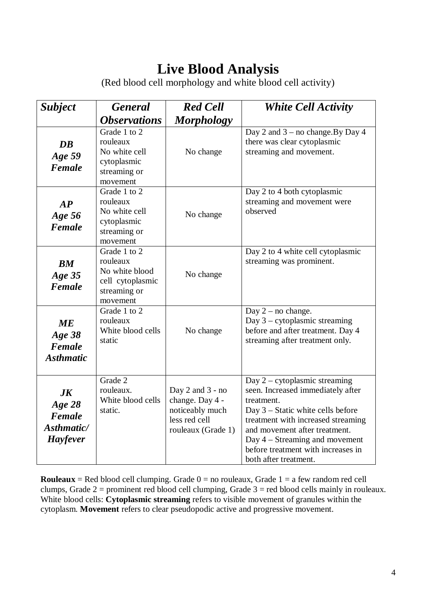# **Live Blood Analysis**

(Red blood cell morphology and white blood cell activity)

| <b>Subject</b>                                                  | <b>General</b>                                                                             | <b>Red Cell</b>                                                                                   | <b>White Cell Activity</b>                                                                                                                                                                                                                                                                        |
|-----------------------------------------------------------------|--------------------------------------------------------------------------------------------|---------------------------------------------------------------------------------------------------|---------------------------------------------------------------------------------------------------------------------------------------------------------------------------------------------------------------------------------------------------------------------------------------------------|
|                                                                 | <i><b>Observations</b></i>                                                                 | <b>Morphology</b>                                                                                 |                                                                                                                                                                                                                                                                                                   |
| DB<br>Age 59<br>Female                                          | Grade 1 to 2<br>rouleaux<br>No white cell<br>cytoplasmic<br>streaming or<br>movement       | No change                                                                                         | Day 2 and $3$ – no change. By Day 4<br>there was clear cytoplasmic<br>streaming and movement.                                                                                                                                                                                                     |
| AP<br>Age 56<br>Female                                          | Grade 1 to 2<br>rouleaux<br>No white cell<br>cytoplasmic<br>streaming or<br>movement       | No change                                                                                         | Day 2 to 4 both cytoplasmic<br>streaming and movement were<br>observed                                                                                                                                                                                                                            |
| $BM$<br>Age 35<br>Female                                        | Grade 1 to 2<br>rouleaux<br>No white blood<br>cell cytoplasmic<br>streaming or<br>movement | No change                                                                                         | Day 2 to 4 white cell cytoplasmic<br>streaming was prominent.                                                                                                                                                                                                                                     |
| ME<br>Age 38<br>Female<br><b>Asthmatic</b>                      | Grade 1 to 2<br>rouleaux<br>White blood cells<br>static                                    | No change                                                                                         | Day $2$ – no change.<br>Day $3$ – cytoplasmic streaming<br>before and after treatment. Day 4<br>streaming after treatment only.                                                                                                                                                                   |
| $J\boldsymbol{K}$<br>Age 28<br>Female<br>Asthmatic/<br>Hayfever | Grade 2<br>rouleaux.<br>White blood cells<br>static.                                       | Day $2$ and $3$ - no<br>change. Day 4 -<br>noticeably much<br>less red cell<br>rouleaux (Grade 1) | Day $2$ – cytoplasmic streaming<br>seen. Increased immediately after<br>treatment.<br>Day 3 – Static white cells before<br>treatment with increased streaming<br>and movement after treatment.<br>Day $4 -$ Streaming and movement<br>before treatment with increases in<br>both after treatment. |

**Rouleaux** = Red blood cell clumping. Grade  $0 =$  no rouleaux, Grade  $1 =$  a few random red cell clumps, Grade  $2 =$  prominent red blood cell clumping, Grade  $3 =$  red blood cells mainly in rouleaux. White blood cells: **Cytoplasmic streaming** refers to visible movement of granules within the cytoplasm. **Movement** refers to clear pseudopodic active and progressive movement.